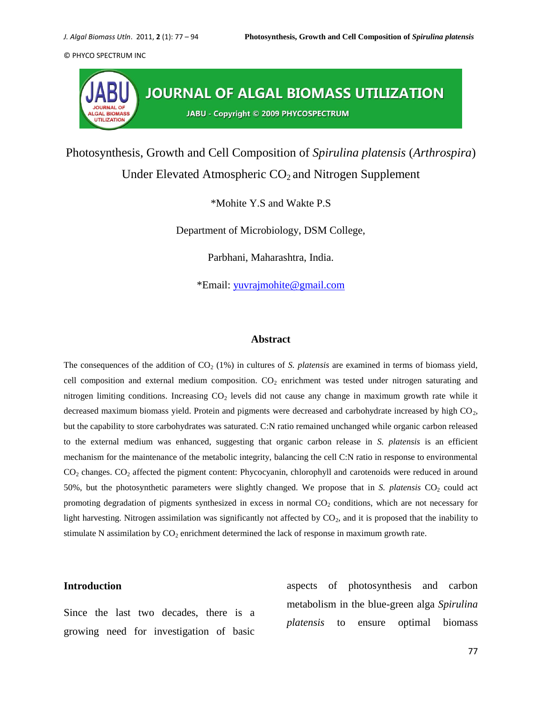

Photosynthesis, Growth and Cell Composition of *Spirulina platensis* (*Arthrospira*)

# Under Elevated Atmospheric  $CO<sub>2</sub>$  and Nitrogen Supplement

\*Mohite Y.S and Wakte P.S

Department of Microbiology, DSM College,

Parbhani, Maharashtra, India.

\*Email: [yuvrajmohite@gmail.com](mailto:yuvrajmohite@gmail.com)

#### **Abstract**

The consequences of the addition of CO<sub>2</sub> (1%) in cultures of *S. platensis* are examined in terms of biomass yield, cell composition and external medium composition.  $CO<sub>2</sub>$  enrichment was tested under nitrogen saturating and nitrogen limiting conditions. Increasing  $CO<sub>2</sub>$  levels did not cause any change in maximum growth rate while it decreased maximum biomass yield. Protein and pigments were decreased and carbohydrate increased by high CO<sub>2</sub>, but the capability to store carbohydrates was saturated. C:N ratio remained unchanged while organic carbon released to the external medium was enhanced, suggesting that organic carbon release in *S. platensis* is an efficient mechanism for the maintenance of the metabolic integrity, balancing the cell C:N ratio in response to environmental CO<sup>2</sup> changes. CO<sup>2</sup> affected the pigment content: Phycocyanin, chlorophyll and carotenoids were reduced in around 50%, but the photosynthetic parameters were slightly changed. We propose that in *S. platensis* CO<sub>2</sub> could act promoting degradation of pigments synthesized in excess in normal  $CO<sub>2</sub>$  conditions, which are not necessary for light harvesting. Nitrogen assimilation was significantly not affected by  $CO<sub>2</sub>$ , and it is proposed that the inability to stimulate N assimilation by  $CO<sub>2</sub>$  enrichment determined the lack of response in maximum growth rate.

## **Introduction**

Since the last two decades, there is a growing need for investigation of basic

aspects of photosynthesis and carbon metabolism in the blue-green alga *Spirulina platensis* to ensure optimal biomass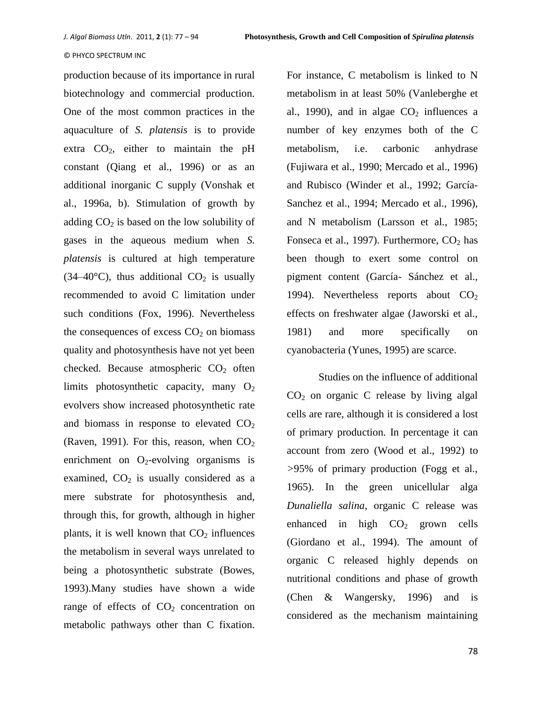production because of its importance in rural biotechnology and commercial production. One of the most common practices in the aquaculture of *S. platensis* is to provide extra  $CO<sub>2</sub>$ , either to maintain the pH constant (Qiang et al., 1996) or as an additional inorganic C supply (Vonshak et al., 1996a, b). Stimulation of growth by adding  $CO<sub>2</sub>$  is based on the low solubility of gases in the aqueous medium when *S. platensis* is cultured at high temperature (34–40 $^{\circ}$ C), thus additional CO<sub>2</sub> is usually recommended to avoid C limitation under such conditions (Fox, 1996). Nevertheless the consequences of excess  $CO<sub>2</sub>$  on biomass quality and photosynthesis have not yet been checked. Because atmospheric  $CO<sub>2</sub>$  often limits photosynthetic capacity, many  $O_2$ evolvers show increased photosynthetic rate and biomass in response to elevated  $CO<sub>2</sub>$ (Raven, 1991). For this, reason, when  $CO<sub>2</sub>$ enrichment on  $O_2$ -evolving organisms is examined,  $CO<sub>2</sub>$  is usually considered as a mere substrate for photosynthesis and, through this, for growth, although in higher plants, it is well known that  $CO<sub>2</sub>$  influences the metabolism in several ways unrelated to being a photosynthetic substrate (Bowes, 1993).Many studies have shown a wide range of effects of  $CO<sub>2</sub>$  concentration on metabolic pathways other than C fixation.

For instance, C metabolism is linked to N metabolism in at least 50% (Vanleberghe et al., 1990), and in algae  $CO<sub>2</sub>$  influences a number of key enzymes both of the C metabolism, i.e. carbonic anhydrase (Fujiwara et al., 1990; Mercado et al., 1996) and Rubisco (Winder et al., 1992; García-Sanchez et al., 1994; Mercado et al., 1996), and N metabolism (Larsson et al., 1985; Fonseca et al., 1997). Furthermore,  $CO<sub>2</sub>$  has been though to exert some control on pigment content (García- Sánchez et al., 1994). Nevertheless reports about  $CO<sub>2</sub>$ effects on freshwater algae (Jaworski et al., 1981) and more specifically on cyanobacteria (Yunes, 1995) are scarce.

Studies on the influence of additional  $CO<sub>2</sub>$  on organic C release by living algal cells are rare, although it is considered a lost of primary production. In percentage it can account from zero (Wood et al., 1992) to *>*95% of primary production (Fogg et al., 1965). In the green unicellular alga *Dunaliella salina*, organic C release was enhanced in high  $CO<sub>2</sub>$  grown cells (Giordano et al., 1994). The amount of organic C released highly depends on nutritional conditions and phase of growth (Chen & Wangersky, 1996) and is considered as the mechanism maintaining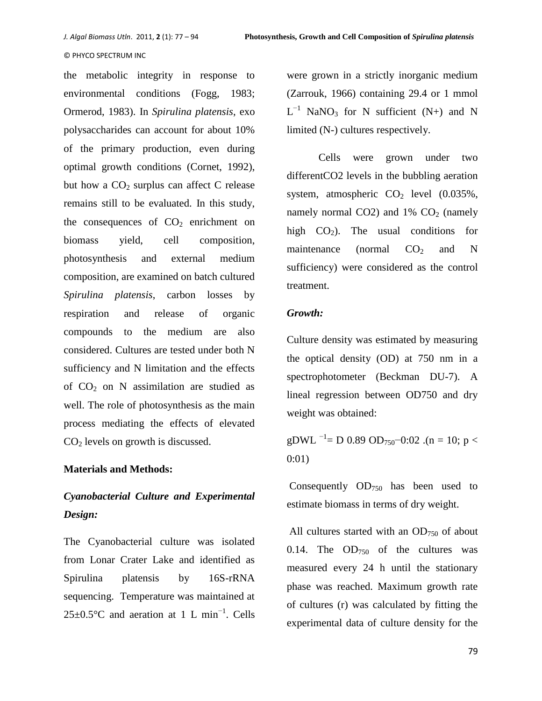the metabolic integrity in response to environmental conditions (Fogg, 1983; Ormerod, 1983). In *Spirulina platensis*, exo polysaccharides can account for about 10% of the primary production, even during optimal growth conditions (Cornet, 1992), but how a  $CO<sub>2</sub>$  surplus can affect C release remains still to be evaluated. In this study, the consequences of  $CO<sub>2</sub>$  enrichment on biomass yield, cell composition, photosynthesis and external medium composition, are examined on batch cultured *Spirulina platensis*, carbon losses by respiration and release of organic compounds to the medium are also considered. Cultures are tested under both N sufficiency and N limitation and the effects of  $CO<sub>2</sub>$  on N assimilation are studied as well. The role of photosynthesis as the main process mediating the effects of elevated CO<sup>2</sup> levels on growth is discussed.

# **Materials and Methods:**

# *Cyanobacterial Culture and Experimental Design:*

The Cyanobacterial culture was isolated from Lonar Crater Lake and identified as Spirulina platensis by 16S-rRNA sequencing. Temperature was maintained at  $25\pm0.5^{\circ}$ C and aeration at 1 L min<sup>-1</sup>. Cells

were grown in a strictly inorganic medium (Zarrouk, 1966) containing 29.4 or 1 mmol  $L^{-1}$  NaNO<sub>3</sub> for N sufficient (N+) and N limited (N-) cultures respectively.

Cells were grown under two differentCO2 levels in the bubbling aeration system, atmospheric  $CO<sub>2</sub>$  level  $(0.035\%),$ namely normal CO2) and  $1\%$  CO<sub>2</sub> (namely high  $CO<sub>2</sub>$ ). The usual conditions for maintenance (normal  $CO<sub>2</sub>$  and N sufficiency) were considered as the control treatment.

# *Growth:*

Culture density was estimated by measuring the optical density (OD) at 750 nm in a spectrophotometer (Beckman DU-7). A lineal regression between OD750 and dry weight was obtained:

gDWL <sup>-1</sup>= D 0.89 OD<sub>750</sub>-0:02 .(n = 10; p < 0:01)

Consequently  $OD_{750}$  has been used to estimate biomass in terms of dry weight.

All cultures started with an  $OD_{750}$  of about 0.14. The  $OD_{750}$  of the cultures was measured every 24 h until the stationary phase was reached. Maximum growth rate of cultures (r) was calculated by fitting the experimental data of culture density for the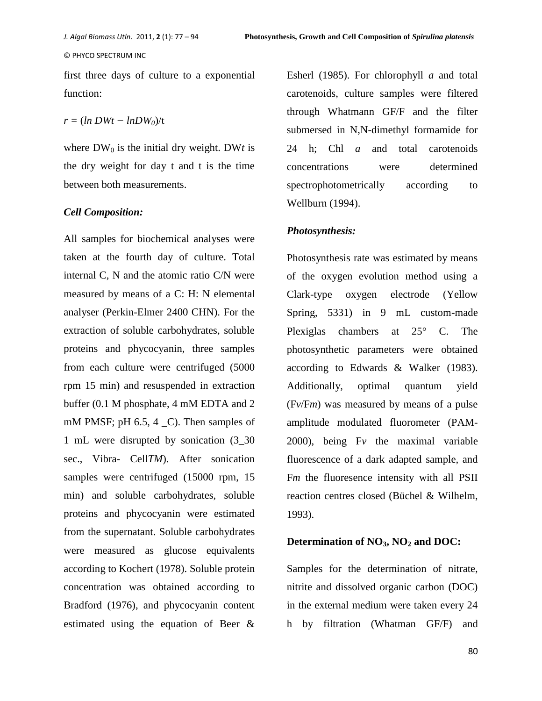first three days of culture to a exponential function:

## *r =* (*ln DWt − lnDW0*)/t

where  $DW_0$  is the initial dry weight. DWt is the dry weight for day t and t is the time between both measurements.

## *Cell Composition:*

All samples for biochemical analyses were taken at the fourth day of culture. Total internal C, N and the atomic ratio C/N were measured by means of a C: H: N elemental analyser (Perkin-Elmer 2400 CHN). For the extraction of soluble carbohydrates, soluble proteins and phycocyanin, three samples from each culture were centrifuged (5000 rpm 15 min) and resuspended in extraction buffer (0.1 M phosphate, 4 mM EDTA and 2 mM PMSF; pH  $6.5, 4$  C). Then samples of 1 mL were disrupted by sonication (3\_30 sec., Vibra- Cell*TM*). After sonication samples were centrifuged (15000 rpm, 15 min) and soluble carbohydrates, soluble proteins and phycocyanin were estimated from the supernatant. Soluble carbohydrates were measured as glucose equivalents according to Kochert (1978). Soluble protein concentration was obtained according to Bradford (1976), and phycocyanin content estimated using the equation of Beer &

Esherl (1985). For chlorophyll *a* and total carotenoids, culture samples were filtered through Whatmann GF/F and the filter submersed in N,N-dimethyl formamide for 24 h; Chl *a* and total carotenoids concentrations were determined spectrophotometrically according to Wellburn (1994).

## *Photosynthesis:*

Photosynthesis rate was estimated by means of the oxygen evolution method using a Clark-type oxygen electrode (Yellow Spring, 5331) in 9 mL custom-made Plexiglas chambers at 25° C. The photosynthetic parameters were obtained according to Edwards & Walker (1983). Additionally, optimal quantum yield (F*v*/F*m*) was measured by means of a pulse amplitude modulated fluorometer (PAM-2000), being F*v* the maximal variable fluorescence of a dark adapted sample, and F*m* the fluoresence intensity with all PSII reaction centres closed (Büchel & Wilhelm, 1993).

## **Determination of NO3, NO<sup>2</sup> and DOC:**

Samples for the determination of nitrate, nitrite and dissolved organic carbon (DOC) in the external medium were taken every 24 h by filtration (Whatman GF/F) and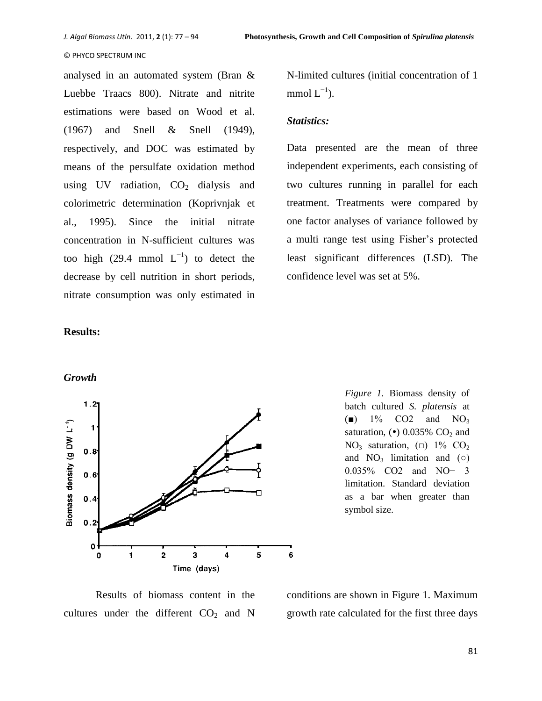analysed in an automated system (Bran & Luebbe Traacs 800). Nitrate and nitrite estimations were based on Wood et al. (1967) and Snell & Snell (1949), respectively, and DOC was estimated by means of the persulfate oxidation method using UV radiation,  $CO<sub>2</sub>$  dialysis and colorimetric determination (Koprivnjak et al., 1995). Since the initial nitrate concentration in N-sufficient cultures was too high  $(29.4 \text{ mmol L}^{-1})$  to detect the decrease by cell nutrition in short periods, nitrate consumption was only estimated in N-limited cultures (initial concentration of 1 mmol  $L^{-1}$ ).

## *Statistics:*

Data presented are the mean of three independent experiments, each consisting of two cultures running in parallel for each treatment. Treatments were compared by one factor analyses of variance followed by a multi range test using Fisher's protected least significant differences (LSD). The confidence level was set at 5%.

## **Results:**

*Growth*



*Figure 1.* Biomass density of batch cultured *S. platensis* at  $\bullet$  1% CO2 and NO<sub>3</sub> saturation,  $\left( \bullet \right)$  0.035% CO<sub>2</sub> and NO<sub>3</sub> saturation,  $\Box$  1% CO<sub>2</sub> and  $NO_3$  limitation and ( $\circ$ ) 0.035% CO2 and NO− 3 limitation. Standard deviation as a bar when greater than symbol size.

Results of biomass content in the cultures under the different  $CO<sub>2</sub>$  and N

conditions are shown in Figure 1. Maximum growth rate calculated for the first three days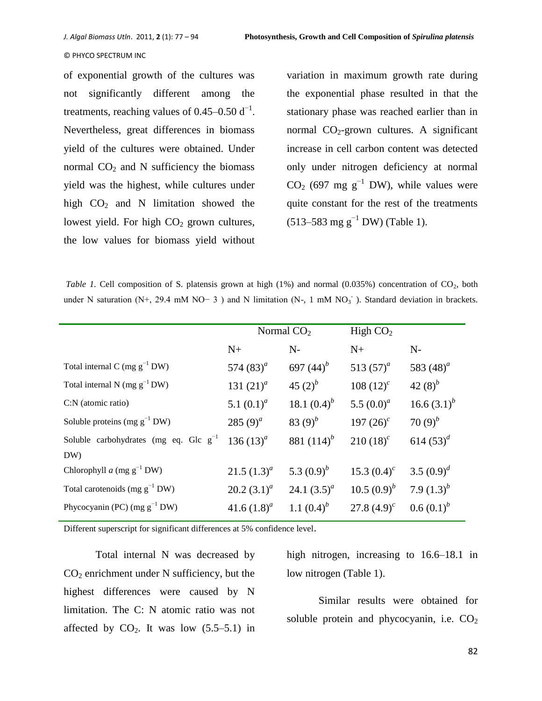of exponential growth of the cultures was not significantly different among the treatments, reaching values of  $0.45-0.50 \text{ d}^{-1}$ . Nevertheless, great differences in biomass yield of the cultures were obtained. Under normal  $CO<sub>2</sub>$  and N sufficiency the biomass yield was the highest, while cultures under high  $CO<sub>2</sub>$  and N limitation showed the lowest yield. For high  $CO<sub>2</sub>$  grown cultures, the low values for biomass yield without

variation in maximum growth rate during the exponential phase resulted in that the stationary phase was reached earlier than in normal  $CO<sub>2</sub>$ -grown cultures. A significant increase in cell carbon content was detected only under nitrogen deficiency at normal CO<sub>2</sub> (697 mg g<sup>-1</sup> DW), while values were quite constant for the rest of the treatments  $(513–583 \text{ mg g}^{-1} \text{DW})$  (Table 1).

*Table 1.* Cell composition of S. platensis grown at high  $(1%)$  and normal  $(0.035%)$  concentration of CO<sub>2</sub>, both under N saturation (N+, 29.4 mM NO− 3) and N limitation (N-, 1 mM NO<sub>3</sub><sup>-</sup>). Standard deviation in brackets.

|                                              | Normal $CO2$   |                | High $CO2$     |                |
|----------------------------------------------|----------------|----------------|----------------|----------------|
|                                              | $N+$           | $N-$           | $N+$           | $N-$           |
| Total internal C (mg $g^{-1}$ DW)            | 574 $(83)^{a}$ | 697 $(44)^{b}$ | 513 $(57)^a$   | 583 $(48)^a$   |
| Total internal N (mg $g^{-1}DW$ )            | 131 $(21)^a$   | 45 $(2)^b$     | 108 $(12)^c$   | 42 $(8)^{b}$   |
| C:N (atomic ratio)                           | 5.1 $(0.1)^a$  | 18.1 $(0.4)^b$ | 5.5 $(0.0)^a$  | 16.6 $(3.1)^b$ |
| Soluble proteins (mg $g^{-1}$ DW)            | 285 $(9)^a$    | 83 $(9)^b$     | 197 $(26)^c$   | 70 $(9)^b$     |
| Soluble carbohydrates (mg eq. Glc $g^{-1}$ ) | 136 $(13)^a$   | 881 $(114)^b$  | $210(18)^c$    | 614 $(53)^d$   |
| DW)                                          |                |                |                |                |
| Chlorophyll $a$ (mg $g^{-1}$ DW)             | 21.5 $(1.3)^a$ | 5.3 $(0.9)^b$  | 15.3 $(0.4)^c$ | 3.5 $(0.9)^d$  |
| Total carotenoids (mg $g^{-1}$ DW)           | 20.2 $(3.1)^a$ | 24.1 $(3.5)^a$ | 10.5 $(0.9)^b$ | 7.9 $(1.3)^b$  |
| Phycocyanin (PC) (mg $g^{-1}$ DW)            | 41.6 $(1.8)^a$ | 1.1 $(0.4)^b$  | 27.8 $(4.9)^c$ | $0.6(0.1)^b$   |
|                                              |                |                |                |                |

Different superscript for significant differences at 5% confidence level.

Total internal N was decreased by  $CO<sub>2</sub>$  enrichment under N sufficiency, but the highest differences were caused by N limitation. The C: N atomic ratio was not affected by  $CO<sub>2</sub>$ . It was low  $(5.5-5.1)$  in high nitrogen, increasing to 16.6–18.1 in low nitrogen (Table 1).

Similar results were obtained for soluble protein and phycocyanin, i.e.  $CO<sub>2</sub>$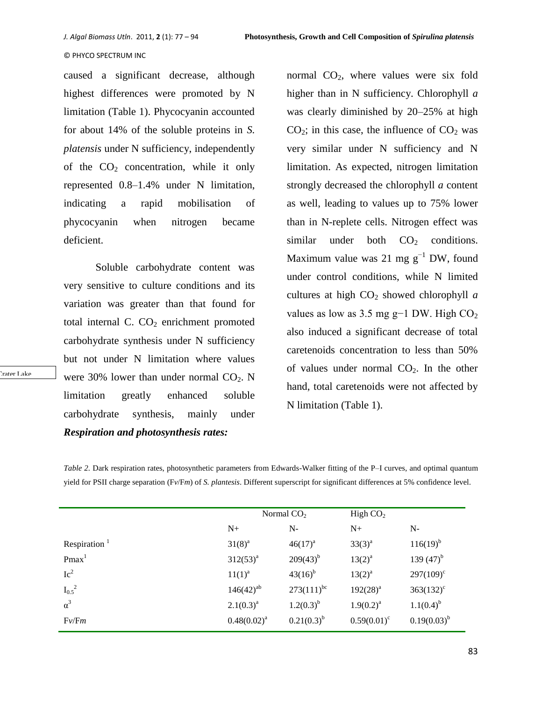normal  $CO<sub>2</sub>$ , where values were six fold

#### © PHYCO SPECTRUM INC

caused a significant decrease, although highest differences were promoted by N limitation (Table 1). Phycocyanin accounted for about 14% of the soluble proteins in *S. platensis* under N sufficiency, independently of the  $CO<sub>2</sub>$  concentration, while it only represented 0.8–1.4% under N limitation, indicating a rapid mobilisation of phycocyanin when nitrogen became deficient.

Soluble carbohydrate content was very sensitive to culture conditions and its variation was greater than that found for total internal C.  $CO<sub>2</sub>$  enrichment promoted carbohydrate synthesis under N sufficiency but not under N limitation where values were 30% lower than under normal  $CO<sub>2</sub>$ . N limitation greatly enhanced soluble carbohydrate synthesis, mainly under *Respiration and photosynthesis rates:*

higher than in N sufficiency. Chlorophyll *a*  was clearly diminished by 20–25% at high  $CO<sub>2</sub>$ ; in this case, the influence of  $CO<sub>2</sub>$  was very similar under N sufficiency and N limitation. As expected, nitrogen limitation strongly decreased the chlorophyll *a* content as well, leading to values up to 75% lower than in N-replete cells. Nitrogen effect was similar under both  $CO<sub>2</sub>$  conditions. Maximum value was 21 mg  $g^{-1}$  DW, found under control conditions, while N limited cultures at high  $CO<sub>2</sub>$  showed chlorophyll *a* values as low as 3.5 mg g−1 DW. High  $CO<sub>2</sub>$ also induced a significant decrease of total caretenoids concentration to less than 50% of values under normal  $CO<sub>2</sub>$ . In the other hand, total caretenoids were not affected by N limitation (Table 1).

*Table 2.* Dark respiration rates, photosynthetic parameters from Edwards-Walker fitting of the P–I curves, and optimal quantum yield for PSII charge separation (F*v*/F*m*) of *S. plantesis*. Different superscript for significant differences at 5% confidence level.

|                   | Normal $CO2$   |                 | High $CO2$     |                    |
|-------------------|----------------|-----------------|----------------|--------------------|
|                   | $N_{\pm}$      | $N-$            | $N+$           | $N-$               |
| Respiration $1$   | $31(8)^{a}$    | $46(17)^{a}$    | $33(3)^{a}$    | $116(19)^{b}$      |
| Pmax <sup>1</sup> | $312(53)^{a}$  | $209(43)^{b}$   | $13(2)^{a}$    | 139 $(47)^{b}$     |
| Ic <sup>2</sup>   | $11(1)^{a}$    | $43(16)^{b}$    | $13(2)^{a}$    | $297(109)^{\circ}$ |
| $I_{0.5}{}^{2}$   | $146(42)^{ab}$ | $273(111)^{bc}$ | $192(28)^{a}$  | $363(132)^{\circ}$ |
| $\alpha^3$        | $2.1(0.3)^a$   | $1.2(0.3)^{b}$  | $1.9(0.2)^a$   | $1.1(0.4)^{b}$     |
| $Fv$ /Fm          | $0.48(0.02)^a$ | $0.21(0.3)^{b}$ | $0.59(0.01)^c$ | $0.19(0.03)^{b}$   |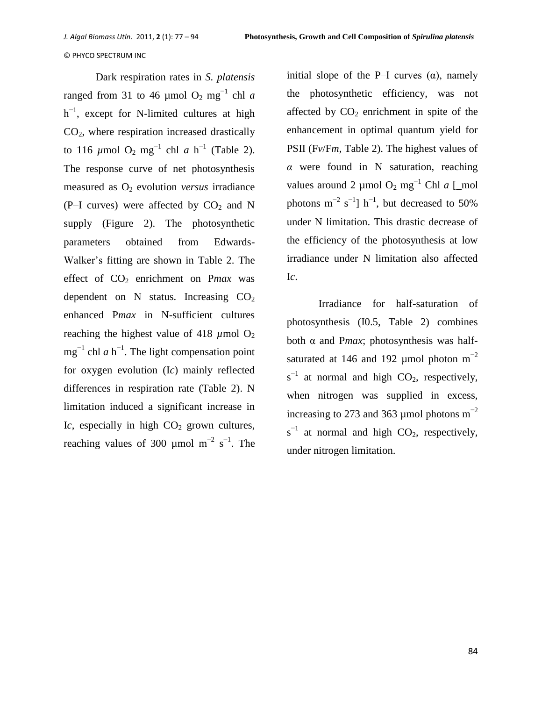Dark respiration rates in *S. platensis*  ranged from 31 to 46 µmol  $O_2$  mg<sup>-1</sup> chl *a*  $h^{-1}$ , except for N-limited cultures at high  $CO<sub>2</sub>$ , where respiration increased drastically to 116  $\mu$ mol O<sub>2</sub> mg<sup>-1</sup> chl *a* h<sup>-1</sup> (Table 2). The response curve of net photosynthesis measured as  $O_2$  evolution *versus* irradiance (P-I curves) were affected by  $CO<sub>2</sub>$  and N supply (Figure 2). The photosynthetic parameters obtained from Edwards-Walker's fitting are shown in Table 2. The effect of  $CO<sub>2</sub>$  enrichment on *Pmax* was dependent on N status. Increasing  $CO<sub>2</sub>$ enhanced P*max* in N-sufficient cultures reaching the highest value of 418  $\mu$ mol O<sub>2</sub>  $mg^{-1}$  chl *a* h<sup>-1</sup>. The light compensation point for oxygen evolution (I*c*) mainly reflected differences in respiration rate (Table 2). N limitation induced a significant increase in Ic, especially in high  $CO<sub>2</sub>$  grown cultures, reaching values of 300 µmol  $m^{-2}$  s<sup>-1</sup>. The

initial slope of the P–I curves  $(\alpha)$ , namely the photosynthetic efficiency, was not affected by  $CO<sub>2</sub>$  enrichment in spite of the enhancement in optimal quantum yield for PSII (F*v*/F*m*, Table 2). The highest values of *α* were found in N saturation, reaching values around 2 µmol O<sup>2</sup> mg−1 Chl *a* [*\_*mol photons  $m^{-2}$  s<sup>-1</sup>] h<sup>-1</sup>, but decreased to 50% under N limitation. This drastic decrease of the efficiency of the photosynthesis at low irradiance under N limitation also affected I*c*.

Irradiance for half-saturation of photosynthesis (I0.5, Table 2) combines both α and P*max*; photosynthesis was halfsaturated at 146 and 192 µmol photon  $m^{-2}$  $s^{-1}$  at normal and high CO<sub>2</sub>, respectively, when nitrogen was supplied in excess, increasing to 273 and 363 µmol photons  $m^{-2}$  $s^{-1}$  at normal and high CO<sub>2</sub>, respectively, under nitrogen limitation.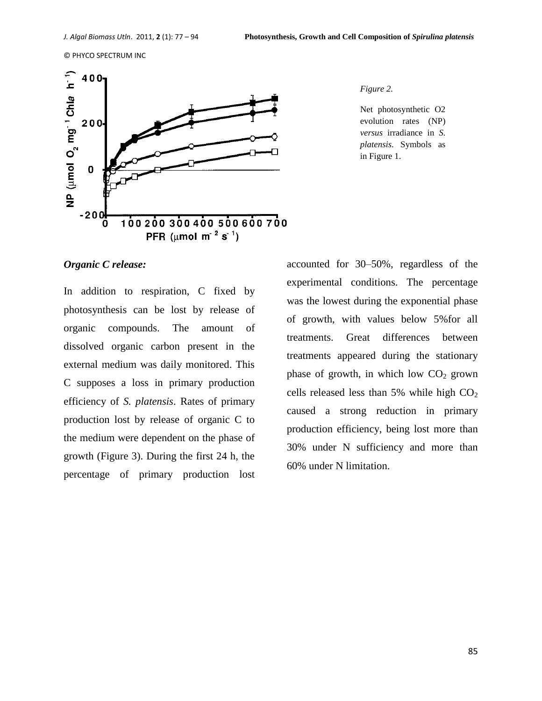

*Figure 2.* 

Net photosynthetic O2 evolution rates (NP) *versus* irradiance in *S. platensis*. Symbols as in Figure 1.

## *Organic C release:*

In addition to respiration, C fixed by photosynthesis can be lost by release of organic compounds. The amount of dissolved organic carbon present in the external medium was daily monitored. This C supposes a loss in primary production efficiency of *S. platensis*. Rates of primary production lost by release of organic C to the medium were dependent on the phase of growth (Figure 3). During the first 24 h, the percentage of primary production lost accounted for 30–50%, regardless of the experimental conditions. The percentage was the lowest during the exponential phase of growth, with values below 5%for all treatments. Great differences between treatments appeared during the stationary phase of growth, in which low  $CO<sub>2</sub>$  grown cells released less than 5% while high  $CO<sub>2</sub>$ caused a strong reduction in primary production efficiency, being lost more than 30% under N sufficiency and more than 60% under N limitation.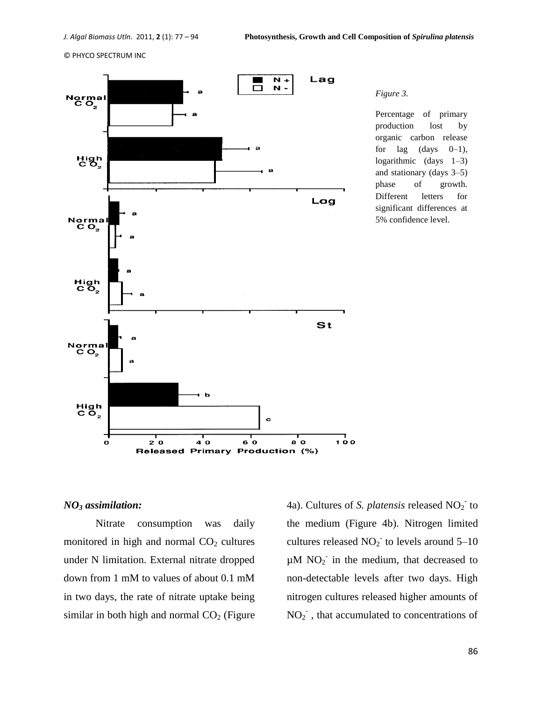

*Figure 3.* 

Percentage of primary production lost by organic carbon release for lag  $(days \t0-1)$ , logarithmic (days 1–3) and stationary (days 3–5) phase of growth. Different letters for significant differences at 5% confidence level.

#### *NO<sup>3</sup> assimilation:*

Nitrate consumption was daily monitored in high and normal  $CO<sub>2</sub>$  cultures under N limitation. External nitrate dropped down from 1 mM to values of about 0.1 mM in two days, the rate of nitrate uptake being similar in both high and normal  $CO<sub>2</sub>$  (Figure

4a). Cultures of *S. platensis* released NO<sub>2</sub><sup>-</sup> to the medium (Figure 4b). Nitrogen limited cultures released  $NO<sub>2</sub>$  to levels around 5–10  $\mu$ M NO<sub>2</sub> in the medium, that decreased to non-detectable levels after two days. High nitrogen cultures released higher amounts of  $NO<sub>2</sub><sup>-</sup>$ , that accumulated to concentrations of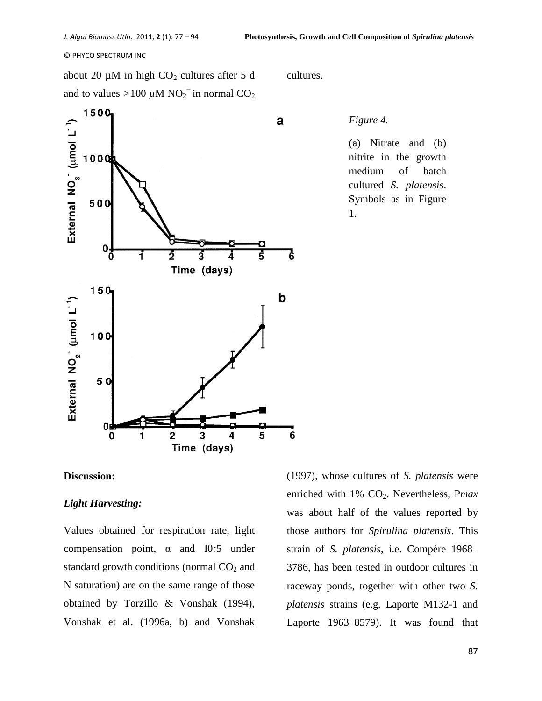about 20  $\mu$ M in high CO<sub>2</sub> cultures after 5 d and to values >100  $\mu$ M NO<sub>2</sub><sup>-</sup> in normal CO<sub>2</sub>



cultures.

#### *Figure 4.*

(a) Nitrate and (b) nitrite in the growth medium of batch cultured *S. platensis*. Symbols as in Figure 1.

# **Discussion:**

## *Light Harvesting:*

Values obtained for respiration rate, light compensation point, α and I0*:*5 under standard growth conditions (normal  $CO<sub>2</sub>$  and N saturation) are on the same range of those obtained by Torzillo & Vonshak (1994), Vonshak et al. (1996a, b) and Vonshak

(1997), whose cultures of *S. platensis* were enriched with 1% CO<sub>2</sub>. Nevertheless, Pmax was about half of the values reported by those authors for *Spirulina platensis*. This strain of *S. platensis*, i.e. Compère 1968– 3786, has been tested in outdoor cultures in raceway ponds, together with other two *S. platensis* strains (e.g. Laporte M132-1 and Laporte 1963–8579). It was found that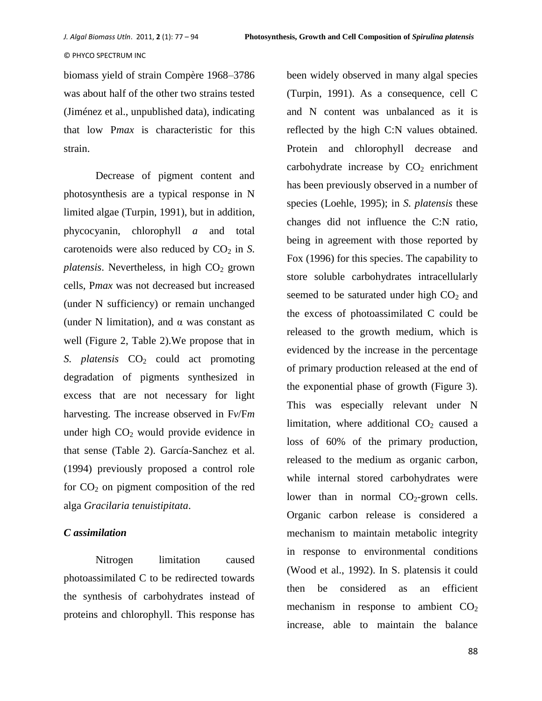biomass yield of strain Compère 1968–3786 was about half of the other two strains tested (Jiménez et al., unpublished data), indicating that low P*max* is characteristic for this strain.

Decrease of pigment content and photosynthesis are a typical response in N limited algae (Turpin, 1991), but in addition, phycocyanin, chlorophyll *a* and total carotenoids were also reduced by  $CO<sub>2</sub>$  in *S*.  $platensis$ . Nevertheless, in high  $CO<sub>2</sub>$  grown cells, P*max* was not decreased but increased (under N sufficiency) or remain unchanged (under N limitation), and  $\alpha$  was constant as well (Figure 2, Table 2).We propose that in *S. platensis*  $CO<sub>2</sub>$  could act promoting degradation of pigments synthesized in excess that are not necessary for light harvesting. The increase observed in F*v*/F*m*  under high  $CO<sub>2</sub>$  would provide evidence in that sense (Table 2). García-Sanchez et al. (1994) previously proposed a control role for  $CO<sub>2</sub>$  on pigment composition of the red alga *Gracilaria tenuistipitata*.

# *C assimilation*

Nitrogen limitation caused photoassimilated C to be redirected towards the synthesis of carbohydrates instead of proteins and chlorophyll. This response has been widely observed in many algal species (Turpin, 1991). As a consequence, cell C and N content was unbalanced as it is reflected by the high C:N values obtained. Protein and chlorophyll decrease and carbohydrate increase by  $CO<sub>2</sub>$  enrichment has been previously observed in a number of species (Loehle, 1995); in *S. platensis* these changes did not influence the C:N ratio, being in agreement with those reported by Fox (1996) for this species. The capability to store soluble carbohydrates intracellularly seemed to be saturated under high  $CO<sub>2</sub>$  and the excess of photoassimilated C could be released to the growth medium, which is evidenced by the increase in the percentage of primary production released at the end of the exponential phase of growth (Figure 3). This was especially relevant under N limitation, where additional  $CO<sub>2</sub>$  caused a loss of 60% of the primary production, released to the medium as organic carbon, while internal stored carbohydrates were lower than in normal  $CO<sub>2</sub>$ -grown cells. Organic carbon release is considered a mechanism to maintain metabolic integrity in response to environmental conditions (Wood et al., 1992). In S. platensis it could then be considered as an efficient mechanism in response to ambient  $CO<sub>2</sub>$ increase, able to maintain the balance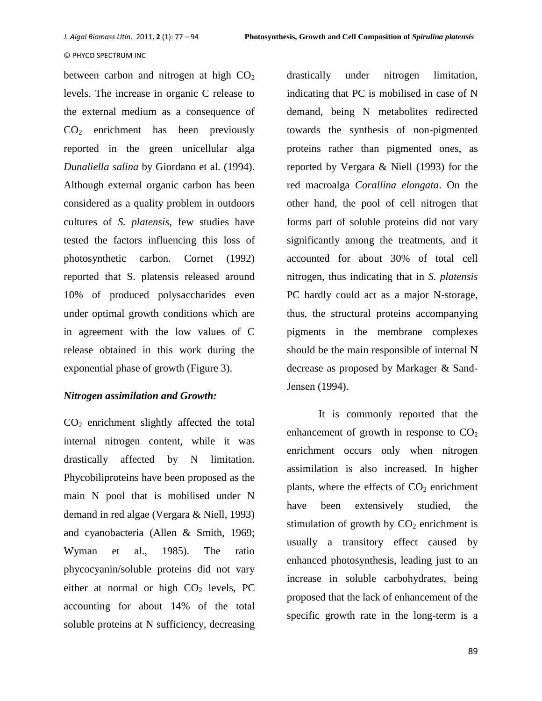between carbon and nitrogen at high  $CO<sub>2</sub>$ levels. The increase in organic C release to the external medium as a consequence of  $CO<sub>2</sub>$  enrichment has been previously reported in the green unicellular alga *Dunaliella salina* by Giordano et al. (1994). Although external organic carbon has been considered as a quality problem in outdoors cultures of *S. platensis*, few studies have tested the factors influencing this loss of photosynthetic carbon. Cornet (1992) reported that S. platensis released around 10% of produced polysaccharides even under optimal growth conditions which are in agreement with the low values of C release obtained in this work during the exponential phase of growth (Figure 3).

# *Nitrogen assimilation and Growth:*

 $CO<sub>2</sub>$  enrichment slightly affected the total internal nitrogen content, while it was drastically affected by N limitation. Phycobiliproteins have been proposed as the main N pool that is mobilised under N demand in red algae (Vergara & Niell, 1993) and cyanobacteria (Allen & Smith, 1969; Wyman et al., 1985). The ratio phycocyanin/soluble proteins did not vary either at normal or high  $CO<sub>2</sub>$  levels, PC accounting for about 14% of the total soluble proteins at N sufficiency, decreasing drastically under nitrogen limitation, indicating that PC is mobilised in case of N demand, being N metabolites redirected towards the synthesis of non-pigmented proteins rather than pigmented ones, as reported by Vergara & Niell (1993) for the red macroalga *Corallina elongata*. On the other hand, the pool of cell nitrogen that forms part of soluble proteins did not vary significantly among the treatments, and it accounted for about 30% of total cell nitrogen, thus indicating that in *S. platensis*  PC hardly could act as a major N-storage, thus, the structural proteins accompanying pigments in the membrane complexes should be the main responsible of internal N decrease as proposed by Markager & Sand-Jensen (1994).

It is commonly reported that the enhancement of growth in response to  $CO<sub>2</sub>$ enrichment occurs only when nitrogen assimilation is also increased. In higher plants, where the effects of  $CO<sub>2</sub>$  enrichment have been extensively studied, the stimulation of growth by  $CO<sub>2</sub>$  enrichment is usually a transitory effect caused by enhanced photosynthesis, leading just to an increase in soluble carbohydrates, being proposed that the lack of enhancement of the specific growth rate in the long-term is a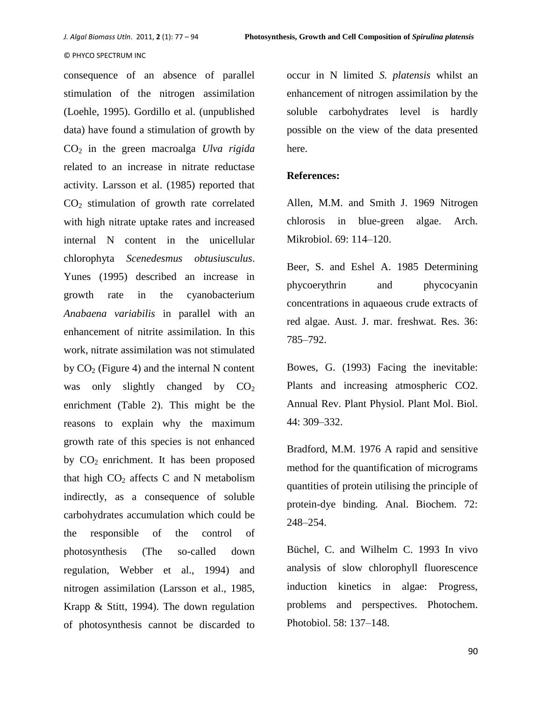consequence of an absence of parallel stimulation of the nitrogen assimilation (Loehle, 1995). Gordillo et al. (unpublished data) have found a stimulation of growth by CO<sup>2</sup> in the green macroalga *Ulva rigida*  related to an increase in nitrate reductase activity. Larsson et al. (1985) reported that  $CO<sub>2</sub>$  stimulation of growth rate correlated with high nitrate uptake rates and increased internal N content in the unicellular chlorophyta *Scenedesmus obtusiusculus*. Yunes (1995) described an increase in growth rate in the cyanobacterium *Anabaena variabilis* in parallel with an enhancement of nitrite assimilation. In this work, nitrate assimilation was not stimulated by  $CO<sub>2</sub>$  (Figure 4) and the internal N content was only slightly changed by  $CO<sub>2</sub>$ enrichment (Table 2). This might be the reasons to explain why the maximum growth rate of this species is not enhanced by  $CO<sub>2</sub>$  enrichment. It has been proposed that high  $CO<sub>2</sub>$  affects C and N metabolism indirectly, as a consequence of soluble carbohydrates accumulation which could be the responsible of the control of photosynthesis (The so-called down regulation, Webber et al., 1994) and nitrogen assimilation (Larsson et al., 1985, Krapp & Stitt, 1994). The down regulation of photosynthesis cannot be discarded to

occur in N limited *S. platensis* whilst an enhancement of nitrogen assimilation by the soluble carbohydrates level is hardly possible on the view of the data presented here.

## **References:**

Allen, M.M. and Smith J. 1969 Nitrogen chlorosis in blue-green algae. Arch. Mikrobiol. 69: 114–120.

Beer, S. and Eshel A. 1985 Determining phycoerythrin and phycocyanin concentrations in aquaeous crude extracts of red algae. Aust. J. mar. freshwat. Res. 36: 785–792.

Bowes, G. (1993) Facing the inevitable: Plants and increasing atmospheric CO2. Annual Rev. Plant Physiol. Plant Mol. Biol. 44: 309–332.

Bradford, M.M. 1976 A rapid and sensitive method for the quantification of micrograms quantities of protein utilising the principle of protein-dye binding. Anal. Biochem. 72: 248–254.

Büchel, C. and Wilhelm C. 1993 In vivo analysis of slow chlorophyll fluorescence induction kinetics in algae: Progress, problems and perspectives. Photochem. Photobiol. 58: 137–148.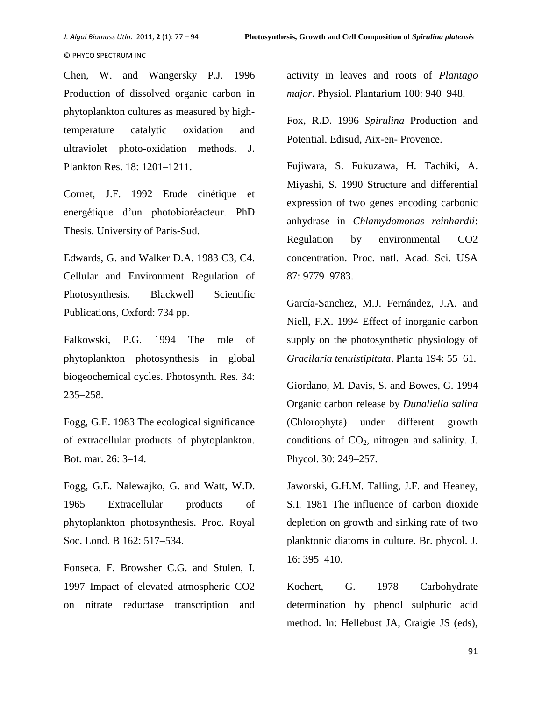Chen, W. and Wangersky P.J. 1996 Production of dissolved organic carbon in phytoplankton cultures as measured by hightemperature catalytic oxidation and ultraviolet photo-oxidation methods. J. Plankton Res. 18: 1201–1211.

Cornet, J.F. 1992 Etude cinétique et energétique d'un photobioréacteur. PhD Thesis. University of Paris-Sud.

Edwards, G. and Walker D.A. 1983 C3, C4. Cellular and Environment Regulation of Photosynthesis. Blackwell Scientific Publications, Oxford: 734 pp.

Falkowski, P.G. 1994 The role of phytoplankton photosynthesis in global biogeochemical cycles. Photosynth. Res. 34: 235–258.

Fogg, G.E. 1983 The ecological significance of extracellular products of phytoplankton. Bot. mar. 26: 3–14.

Fogg, G.E. Nalewajko, G. and Watt, W.D. 1965 Extracellular products of phytoplankton photosynthesis. Proc. Royal Soc. Lond. B 162: 517–534.

Fonseca, F. Browsher C.G. and Stulen, I. 1997 Impact of elevated atmospheric CO2 on nitrate reductase transcription and

activity in leaves and roots of *Plantago major*. Physiol. Plantarium 100: 940–948.

Fox, R.D. 1996 *Spirulina* Production and Potential. Edisud, Aix-en- Provence.

Fujiwara, S. Fukuzawa, H. Tachiki, A. Miyashi, S. 1990 Structure and differential expression of two genes encoding carbonic anhydrase in *Chlamydomonas reinhardii*: Regulation by environmental CO2 concentration. Proc. natl. Acad. Sci. USA 87: 9779–9783.

García-Sanchez, M.J. Fernández, J.A. and Niell, F.X. 1994 Effect of inorganic carbon supply on the photosynthetic physiology of *Gracilaria tenuistipitata*. Planta 194: 55–61.

Giordano, M. Davis, S. and Bowes, G. 1994 Organic carbon release by *Dunaliella salina*  (Chlorophyta) under different growth conditions of  $CO<sub>2</sub>$ , nitrogen and salinity. J. Phycol. 30: 249–257.

Jaworski, G.H.M. Talling, J.F. and Heaney, S.I. 1981 The influence of carbon dioxide depletion on growth and sinking rate of two planktonic diatoms in culture. Br. phycol. J. 16: 395–410.

Kochert, G. 1978 Carbohydrate determination by phenol sulphuric acid method. In: Hellebust JA, Craigie JS (eds),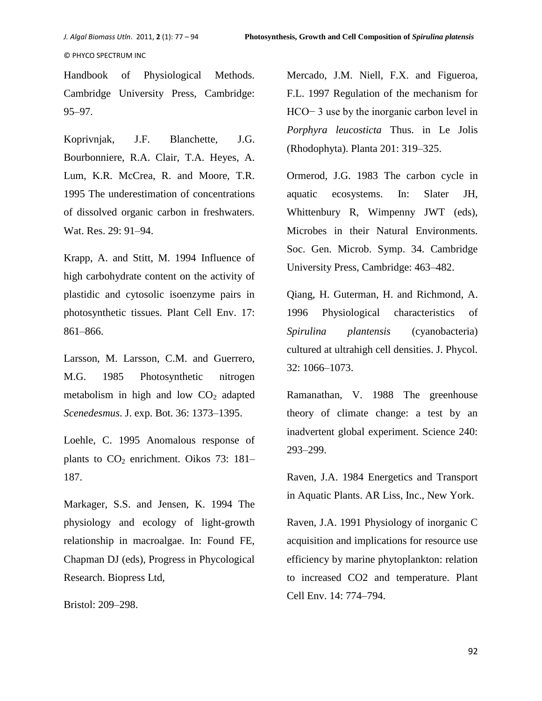Handbook of Physiological Methods. Cambridge University Press, Cambridge: 95–97.

Koprivnjak, J.F. Blanchette, J.G. Bourbonniere, R.A. Clair, T.A. Heyes, A. Lum, K.R. McCrea, R. and Moore, T.R. 1995 The underestimation of concentrations of dissolved organic carbon in freshwaters. Wat. Res. 29: 91–94.

Krapp, A. and Stitt, M. 1994 Influence of high carbohydrate content on the activity of plastidic and cytosolic isoenzyme pairs in photosynthetic tissues. Plant Cell Env. 17: 861–866.

Larsson, M. Larsson, C.M. and Guerrero, M.G. 1985 Photosynthetic nitrogen metabolism in high and low  $CO<sub>2</sub>$  adapted *Scenedesmus*. J. exp. Bot. 36: 1373–1395.

Loehle, C. 1995 Anomalous response of plants to  $CO<sub>2</sub>$  enrichment. Oikos 73: 181– 187.

Markager, S.S. and Jensen, K. 1994 The physiology and ecology of light-growth relationship in macroalgae. In: Found FE, Chapman DJ (eds), Progress in Phycological Research. Biopress Ltd,

Bristol: 209–298.

Mercado, J.M. Niell, F.X. and Figueroa, F.L. 1997 Regulation of the mechanism for HCO− 3 use by the inorganic carbon level in *Porphyra leucosticta* Thus. in Le Jolis (Rhodophyta). Planta 201: 319–325.

Ormerod, J.G. 1983 The carbon cycle in aquatic ecosystems. In: Slater JH, Whittenbury R, Wimpenny JWT (eds), Microbes in their Natural Environments. Soc. Gen. Microb. Symp. 34. Cambridge University Press, Cambridge: 463–482.

Qiang, H. Guterman, H. and Richmond, A. 1996 Physiological characteristics of *Spirulina plantensis* (cyanobacteria) cultured at ultrahigh cell densities. J. Phycol. 32: 1066–1073.

Ramanathan, V. 1988 The greenhouse theory of climate change: a test by an inadvertent global experiment. Science 240: 293–299.

Raven, J.A. 1984 Energetics and Transport in Aquatic Plants. AR Liss, Inc., New York.

Raven, J.A. 1991 Physiology of inorganic C acquisition and implications for resource use efficiency by marine phytoplankton: relation to increased CO2 and temperature. Plant Cell Env. 14: 774–794.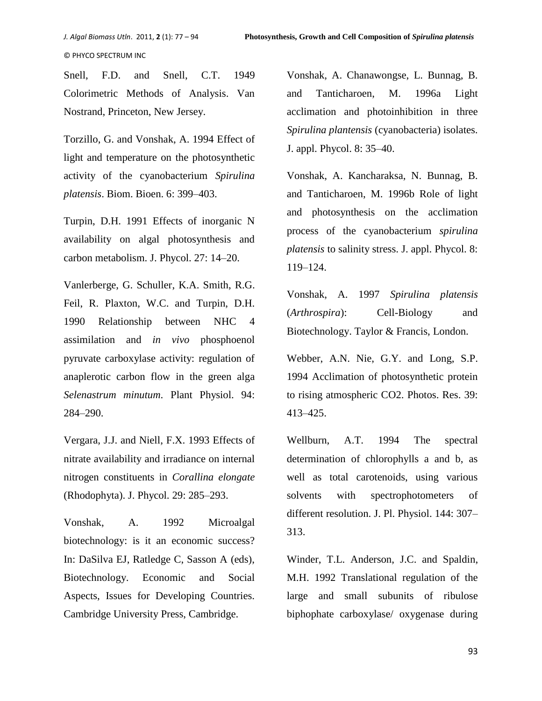Snell, F.D. and Snell, C.T. 1949 Colorimetric Methods of Analysis. Van Nostrand, Princeton, New Jersey.

Torzillo, G. and Vonshak, A. 1994 Effect of light and temperature on the photosynthetic activity of the cyanobacterium *Spirulina platensis*. Biom. Bioen. 6: 399–403.

Turpin, D.H. 1991 Effects of inorganic N availability on algal photosynthesis and carbon metabolism. J. Phycol. 27: 14–20.

Vanlerberge, G. Schuller, K.A. Smith, R.G. Feil, R. Plaxton, W.C. and Turpin, D.H. 1990 Relationship between NHC 4 assimilation and *in vivo* phosphoenol pyruvate carboxylase activity: regulation of anaplerotic carbon flow in the green alga *Selenastrum minutum*. Plant Physiol. 94: 284–290.

Vergara, J.J. and Niell, F.X. 1993 Effects of nitrate availability and irradiance on internal nitrogen constituents in *Corallina elongate*  (Rhodophyta). J. Phycol. 29: 285–293.

Vonshak, A. 1992 Microalgal biotechnology: is it an economic success? In: DaSilva EJ, Ratledge C, Sasson A (eds), Biotechnology. Economic and Social Aspects, Issues for Developing Countries. Cambridge University Press, Cambridge.

Vonshak, A. Chanawongse, L. Bunnag, B. and Tanticharoen, M. 1996a Light acclimation and photoinhibition in three *Spirulina plantensis* (cyanobacteria) isolates. J. appl. Phycol. 8: 35–40.

Vonshak, A. Kancharaksa, N. Bunnag, B. and Tanticharoen, M. 1996b Role of light and photosynthesis on the acclimation process of the cyanobacterium *spirulina platensis* to salinity stress. J. appl. Phycol. 8: 119–124.

Vonshak, A. 1997 *Spirulina platensis* (*Arthrospira*): Cell-Biology and Biotechnology. Taylor & Francis, London.

Webber, A.N. Nie, G.Y. and Long, S.P. 1994 Acclimation of photosynthetic protein to rising atmospheric CO2. Photos. Res. 39: 413–425.

Wellburn, A.T. 1994 The spectral determination of chlorophylls a and b, as well as total carotenoids, using various solvents with spectrophotometers of different resolution. J. Pl. Physiol. 144: 307– 313.

Winder, T.L. Anderson, J.C. and Spaldin, M.H. 1992 Translational regulation of the large and small subunits of ribulose biphophate carboxylase/ oxygenase during